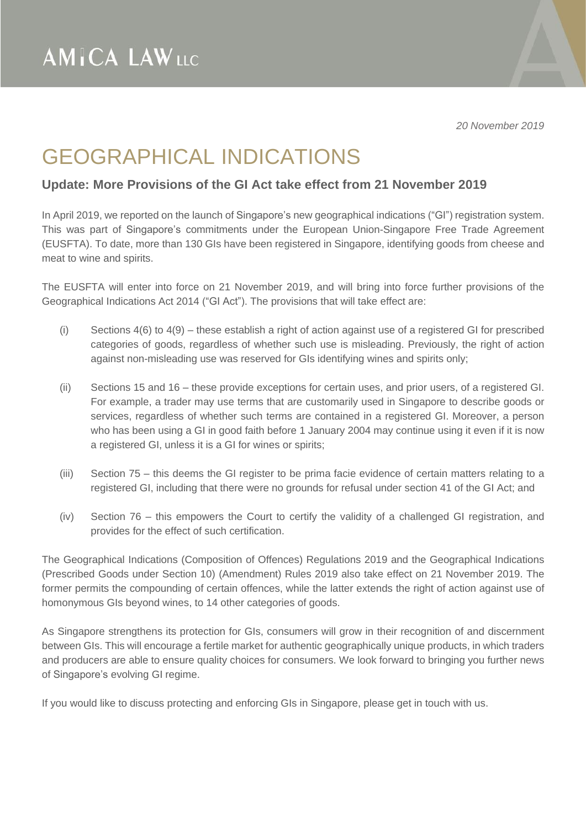*20 November 2019*

## GEOGRAPHICAL INDICATIONS

## **Update: More Provisions of the GI Act take effect from 21 November 2019**

In April 2019, we reported on the launch of Singapore's new geographical indications ("GI") registration system. This was part of Singapore's commitments under the European Union-Singapore Free Trade Agreement (EUSFTA). To date, more than 130 GIs have been registered in Singapore, identifying goods from cheese and meat to wine and spirits.

The EUSFTA will enter into force on 21 November 2019, and will bring into force further provisions of the Geographical Indications Act 2014 ("GI Act"). The provisions that will take effect are:

- (i) Sections 4(6) to 4(9) these establish a right of action against use of a registered GI for prescribed categories of goods, regardless of whether such use is misleading. Previously, the right of action against non-misleading use was reserved for GIs identifying wines and spirits only;
- (ii) Sections 15 and 16 these provide exceptions for certain uses, and prior users, of a registered GI. For example, a trader may use terms that are customarily used in Singapore to describe goods or services, regardless of whether such terms are contained in a registered GI. Moreover, a person who has been using a GI in good faith before 1 January 2004 may continue using it even if it is now a registered GI, unless it is a GI for wines or spirits;
- (iii) Section 75 this deems the GI register to be prima facie evidence of certain matters relating to a registered GI, including that there were no grounds for refusal under section 41 of the GI Act; and
- (iv) Section 76 this empowers the Court to certify the validity of a challenged GI registration, and provides for the effect of such certification.

The Geographical Indications (Composition of Offences) Regulations 2019 and the Geographical Indications (Prescribed Goods under Section 10) (Amendment) Rules 2019 also take effect on 21 November 2019. The former permits the compounding of certain offences, while the latter extends the right of action against use of homonymous GIs beyond wines, to 14 other categories of goods.

As Singapore strengthens its protection for GIs, consumers will grow in their recognition of and discernment between GIs. This will encourage a fertile market for authentic geographically unique products, in which traders and producers are able to ensure quality choices for consumers. We look forward to bringing you further news of Singapore's evolving GI regime.

If you would like to discuss protecting and enforcing GIs in Singapore, please get in touch with us.